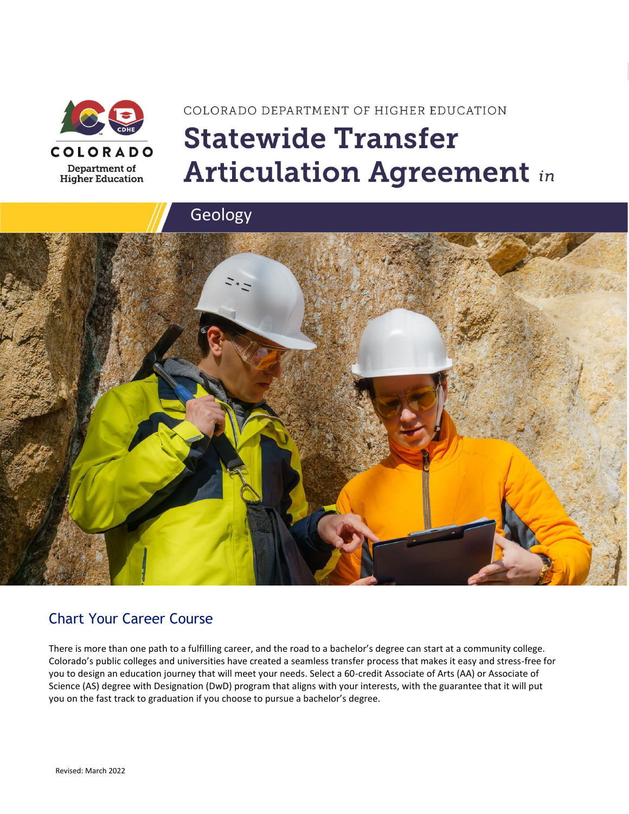

# COLORADO DEPARTMENT OF HIGHER EDUCATION **Statewide Transfer Articulation Agreement in**



### Chart Your Career Course

There is more than one path to a fulfilling career, and the road to a bachelor's degree can start at a community college. Colorado's public colleges and universities have created a seamless transfer process that makes it easy and stress-free for you to design an education journey that will meet your needs. Select a 60-credit Associate of Arts (AA) or Associate of Science (AS) degree with Designation (DwD) program that aligns with your interests, with the guarantee that it will put you on the fast track to graduation if you choose to pursue a bachelor's degree.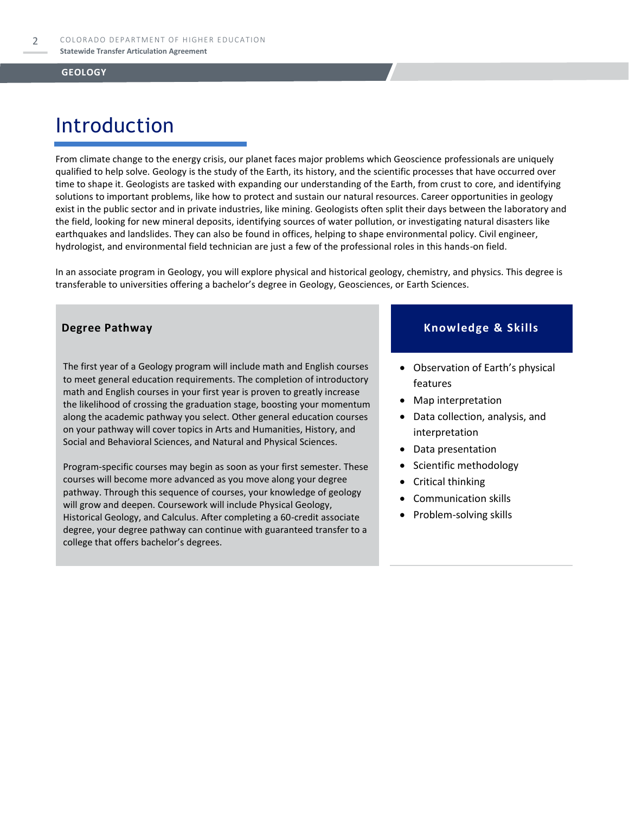# Introduction

From climate change to the energy crisis, our planet faces major problems which Geoscience professionals are uniquely qualified to help solve. Geology is the study of the Earth, its history, and the scientific processes that have occurred over time to shape it. Geologists are tasked with expanding our understanding of the Earth, from crust to core, and identifying solutions to important problems, like how to protect and sustain our natural resources. Career opportunities in geology exist in the public sector and in private industries, like mining. Geologists often split their days between the laboratory and the field, looking for new mineral deposits, identifying sources of water pollution, or investigating natural disasters like earthquakes and landslides. They can also be found in offices, helping to shape environmental policy. Civil engineer, hydrologist, and environmental field technician are just a few of the professional roles in this hands-on field.

In an associate program in Geology, you will explore physical and historical geology, chemistry, and physics. This degree is transferable to universities offering a bachelor's degree in Geology, Geosciences, or Earth Sciences.

The first year of a Geology program will include math and English courses to meet general education requirements. The completion of introductory math and English courses in your first year is proven to greatly increase the likelihood of crossing the graduation stage, boosting your momentum along the academic pathway you select. Other general education courses on your pathway will cover topics in Arts and Humanities, History, and Social and Behavioral Sciences, and Natural and Physical Sciences.

Program-specific courses may begin as soon as your first semester. These courses will become more advanced as you move along your degree pathway. Through this sequence of courses, your knowledge of geology will grow and deepen. Coursework will include Physical Geology, Historical Geology, and Calculus. After completing a 60-credit associate degree, your degree pathway can continue with guaranteed transfer to a college that offers bachelor's degrees.

### **Degree Pathway Knowledge & Skills**

- Observation of Earth's physical features
- Map interpretation
- Data collection, analysis, and interpretation
- Data presentation
- Scientific methodology
- Critical thinking
- Communication skills
- Problem-solving skills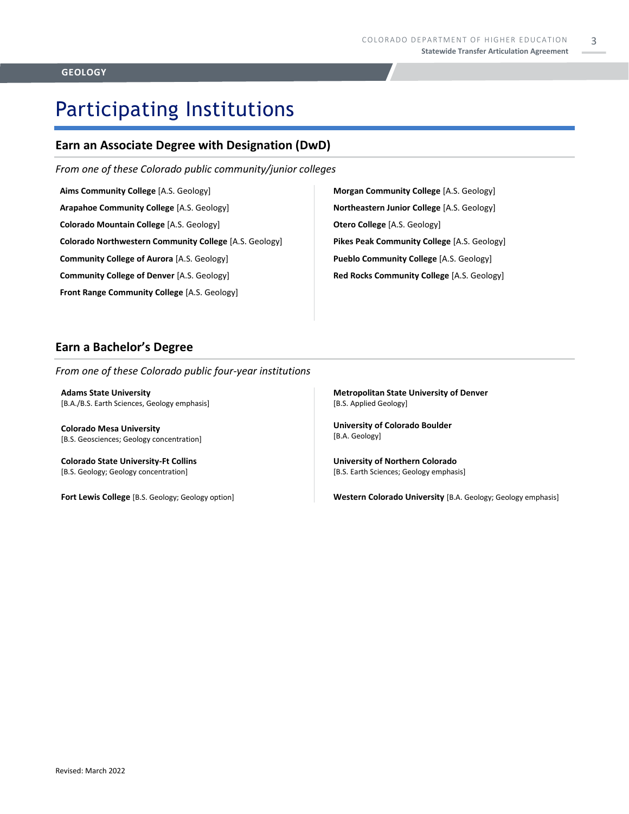3

# Participating Institutions

### **Earn an Associate Degree with Designation (DwD)**

*From one of these Colorado public community/junior colleges*

**Aims Community College** [A.S. Geology]

**Arapahoe Community College** [A.S. Geology]

**Colorado Mountain College** [A.S. Geology]

**Colorado Northwestern Community College** [A.S. Geology]

**Community College of Aurora** [A.S. Geology]

**Community College of Denver** [A.S. Geology]

**Front Range Community College** [A.S. Geology]

**Morgan Community College** [A.S. Geology] **Northeastern Junior College** [A.S. Geology] **Otero College** [A.S. Geology] **Pikes Peak Community College** [A.S. Geology] **Pueblo Community College** [A.S. Geology] **Red Rocks Community College** [A.S. Geology]

### **Earn a Bachelor's Degree**

*From one of these Colorado public four-year institutions*

**Adams State University**  [B.A./B.S. Earth Sciences, Geology emphasis]

**Colorado Mesa University**  [B.S. Geosciences; Geology concentration]

**Colorado State University-Ft Collins**  [B.S. Geology; Geology concentration]

**Fort Lewis College** [B.S. Geology; Geology option]

**Metropolitan State University of Denver**  [B.S. Applied Geology]

**University of Colorado Boulder** [B.A. Geology]

**University of Northern Colorado** [B.S. Earth Sciences; Geology emphasis]

**Western Colorado University** [B.A. Geology; Geology emphasis]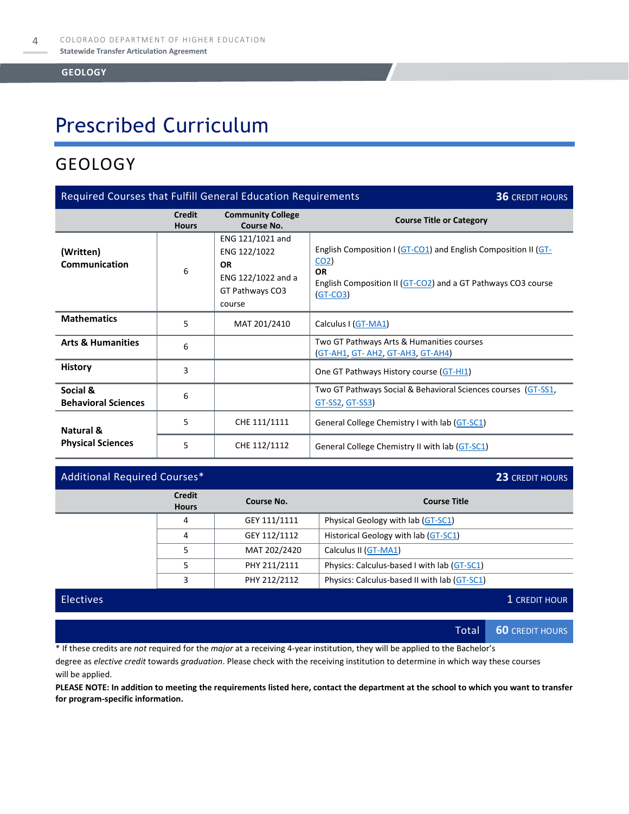# Prescribed Curriculum

### GEOLOGY

| Required Courses that Fulfill General Education Requirements<br><b>36 CREDIT HOURS</b> |                               |                                                                                                  |                                                                                                                                                                              |  |
|----------------------------------------------------------------------------------------|-------------------------------|--------------------------------------------------------------------------------------------------|------------------------------------------------------------------------------------------------------------------------------------------------------------------------------|--|
|                                                                                        | <b>Credit</b><br><b>Hours</b> | <b>Community College</b><br>Course No.                                                           | <b>Course Title or Category</b>                                                                                                                                              |  |
| (Written)<br><b>Communication</b>                                                      | 6                             | ENG 121/1021 and<br>ENG 122/1022<br><b>OR</b><br>ENG 122/1022 and a<br>GT Pathways CO3<br>course | English Composition I (GT-CO1) and English Composition II (GT-<br>CO <sub>2</sub><br><b>OR</b><br>English Composition II (GT-CO2) and a GT Pathways CO3 course<br>$(GT-CO3)$ |  |
| <b>Mathematics</b>                                                                     | 5                             | MAT 201/2410                                                                                     | Calculus I (GT-MA1)                                                                                                                                                          |  |
| <b>Arts &amp; Humanities</b>                                                           | 6                             |                                                                                                  | Two GT Pathways Arts & Humanities courses<br><b>(GT-AH1, GT- AH2, GT-AH3, GT-AH4)</b>                                                                                        |  |
| <b>History</b>                                                                         | 3                             |                                                                                                  | One GT Pathways History course (GT-HI1)                                                                                                                                      |  |
| Social &<br><b>Behavioral Sciences</b>                                                 | 6                             |                                                                                                  | Two GT Pathways Social & Behavioral Sciences courses (GT-SS1,<br>GT-SS2, GT-SS3)                                                                                             |  |
| Natural &                                                                              | 5                             | CHE 111/1111                                                                                     | General College Chemistry I with lab (GT-SC1)                                                                                                                                |  |
| <b>Physical Sciences</b>                                                               | 5                             | CHE 112/1112                                                                                     | General College Chemistry II with lab (GT-SC1)                                                                                                                               |  |

### Additional Required Courses\* **23** CREDIT HOURS

|  | <b>Credit</b><br><b>Hours</b> | Course No.   | <b>Course Title</b>                          |
|--|-------------------------------|--------------|----------------------------------------------|
|  | 4                             | GEY 111/1111 | Physical Geology with lab (GT-SC1)           |
|  | 4                             | GEY 112/1112 | Historical Geology with lab (GT-SC1)         |
|  | 5                             | MAT 202/2420 | Calculus II (GT-MA1)                         |
|  | 5                             | PHY 211/2111 | Physics: Calculus-based I with lab (GT-SC1)  |
|  | 3                             | PHY 212/2112 | Physics: Calculus-based II with lab (GT-SC1) |
|  |                               |              |                                              |

Electives **1** CREDIT HOUR

Total **60** CREDIT HOURS

\* If these credits are *not* required for the *major* at a receiving 4-year institution, they will be applied to the Bachelor's

degree as *elective credit* towards *graduation*. Please check with the receiving institution to determine in which way these courses will be applied.

**PLEASE NOTE: In addition to meeting the requirements listed here, contact the department at the school to which you want to transfer for program-specific information.**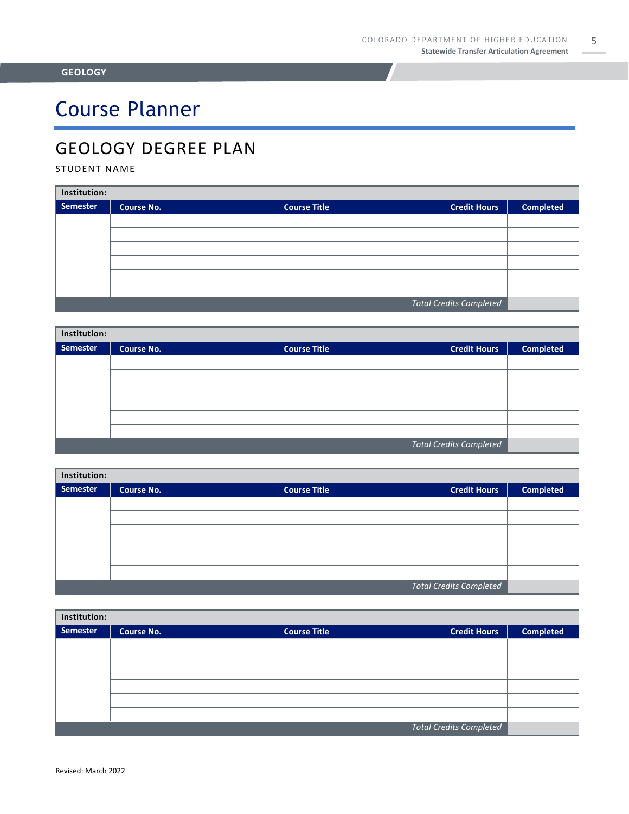# Course Planner

## GEOLOGY DEGREE PLAN

### STUDENT NAME

| Institution:                   |                   |                     |                     |                  |  |
|--------------------------------|-------------------|---------------------|---------------------|------------------|--|
| Semester                       | <b>Course No.</b> | <b>Course Title</b> | <b>Credit Hours</b> | <b>Completed</b> |  |
|                                |                   |                     |                     |                  |  |
|                                |                   |                     |                     |                  |  |
|                                |                   |                     |                     |                  |  |
|                                |                   |                     |                     |                  |  |
|                                |                   |                     |                     |                  |  |
|                                |                   |                     |                     |                  |  |
| <b>Total Credits Completed</b> |                   |                     |                     |                  |  |

| Institution:                   |                   |                     |                     |                  |  |  |
|--------------------------------|-------------------|---------------------|---------------------|------------------|--|--|
| Semester                       | <b>Course No.</b> | <b>Course Title</b> | <b>Credit Hours</b> | <b>Completed</b> |  |  |
|                                |                   |                     |                     |                  |  |  |
|                                |                   |                     |                     |                  |  |  |
|                                |                   |                     |                     |                  |  |  |
|                                |                   |                     |                     |                  |  |  |
|                                |                   |                     |                     |                  |  |  |
|                                |                   |                     |                     |                  |  |  |
| <b>Total Credits Completed</b> |                   |                     |                     |                  |  |  |

| Institution:                   |                   |                     |  |                  |  |  |
|--------------------------------|-------------------|---------------------|--|------------------|--|--|
| <b>Semester</b>                | <b>Course No.</b> | <b>Course Title</b> |  | <b>Completed</b> |  |  |
|                                |                   |                     |  |                  |  |  |
|                                |                   |                     |  |                  |  |  |
|                                |                   |                     |  |                  |  |  |
|                                |                   |                     |  |                  |  |  |
|                                |                   |                     |  |                  |  |  |
|                                |                   |                     |  |                  |  |  |
| <b>Total Credits Completed</b> |                   |                     |  |                  |  |  |

| Institution:                   |                   |                     |                     |                  |  |
|--------------------------------|-------------------|---------------------|---------------------|------------------|--|
| <b>Semester</b>                | <b>Course No.</b> | <b>Course Title</b> | <b>Credit Hours</b> | <b>Completed</b> |  |
|                                |                   |                     |                     |                  |  |
|                                |                   |                     |                     |                  |  |
|                                |                   |                     |                     |                  |  |
|                                |                   |                     |                     |                  |  |
|                                |                   |                     |                     |                  |  |
|                                |                   |                     |                     |                  |  |
| <b>Total Credits Completed</b> |                   |                     |                     |                  |  |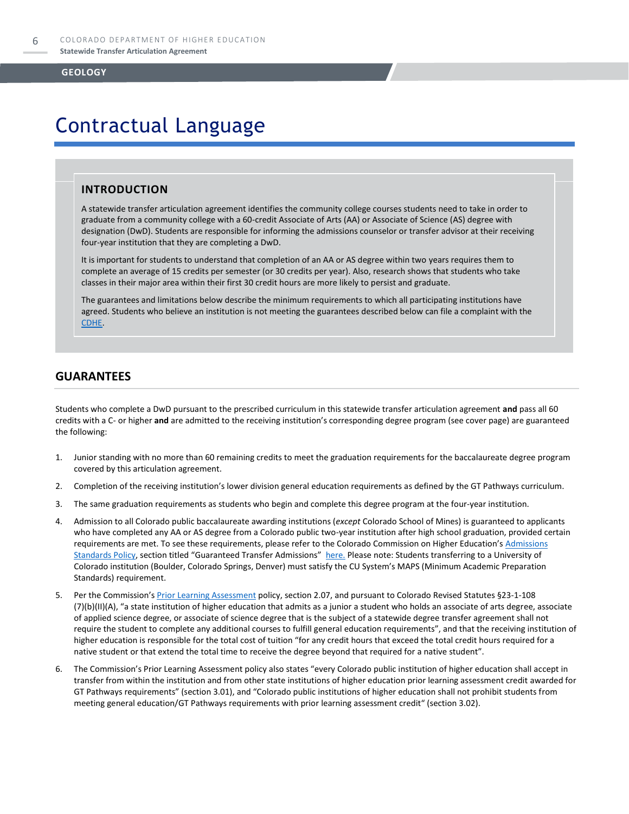## Contractual Language

### **INTRODUCTION**

A statewide transfer articulation agreement identifies the community college courses students need to take in order to graduate from a community college with a 60-credit Associate of Arts (AA) or Associate of Science (AS) degree with designation (DwD). Students are responsible for informing the admissions counselor or transfer advisor at their receiving four-year institution that they are completing a DwD.

It is important for students to understand that completion of an AA or AS degree within two years requires them to complete an average of 15 credits per semester (or 30 credits per year). Also, research shows that students who take classes in their major area within their first 30 credit hours are more likely to persist and graduate.

The guarantees and limitations below describe the minimum requirements to which all participating institutions have agreed. Students who believe an institution is not meeting the guarantees described below can file a complaint with the [CDHE.](https://highered.colorado.gov/filing-student-complaint) 

### **GUARANTEES**

Students who complete a DwD pursuant to the prescribed curriculum in this statewide transfer articulation agreement **and** pass all 60 credits with a C- or higher **and** are admitted to the receiving institution's corresponding degree program (see cover page) are guaranteed the following:

- 1. Junior standing with no more than 60 remaining credits to meet the graduation requirements for the baccalaureate degree program covered by this articulation agreement.
- 2. Completion of the receiving institution's lower division general education requirements as defined by the GT Pathways curriculum.
- 3. The same graduation requirements as students who begin and complete this degree program at the four-year institution.
- 4. Admission to all Colorado public baccalaureate awarding institutions (*except* Colorado School of Mines) is guaranteed to applicants who have completed any AA or AS degree from a Colorado public two-year institution after high school graduation, provided certain requirements are met. To see these requirements, please refer to the Colorado Commission on Higher Education's Admissions [Standards Policy](https://highered.colorado.gov/sites/highered/files/2020-03/i-partf_0.pdf), section titled "Guaranteed Transfer Admissions" [here.](https://highered.colorado.gov/educators/policy-funding/cche-policies-procedures) Please note: Students transferring to a University of Colorado institution (Boulder, Colorado Springs, Denver) must satisfy the CU System's MAPS (Minimum Academic Preparation Standards) requirement.
- 5. Per the Commission's **[Prior Learning Assessment](https://highered.colorado.gov/sites/highered/files/2020-03/i-partx.pdf)** policy, section 2.07, and pursuant to Colorado Revised Statutes §23-1-108 (7)(b)(II)(A), "a state institution of higher education that admits as a junior a student who holds an associate of arts degree, associate of applied science degree, or associate of science degree that is the subject of a statewide degree transfer agreement shall not require the student to complete any additional courses to fulfill general education requirements", and that the receiving institution of higher education is responsible for the total cost of tuition "for any credit hours that exceed the total credit hours required for a native student or that extend the total time to receive the degree beyond that required for a native student".
- 6. The Commission's Prior Learning Assessment policy also states "every Colorado public institution of higher education shall accept in transfer from within the institution and from other state institutions of higher education prior learning assessment credit awarded for GT Pathways requirements" (section 3.01), and "Colorado public institutions of higher education shall not prohibit students from meeting general education/GT Pathways requirements with prior learning assessment credit" (section 3.02).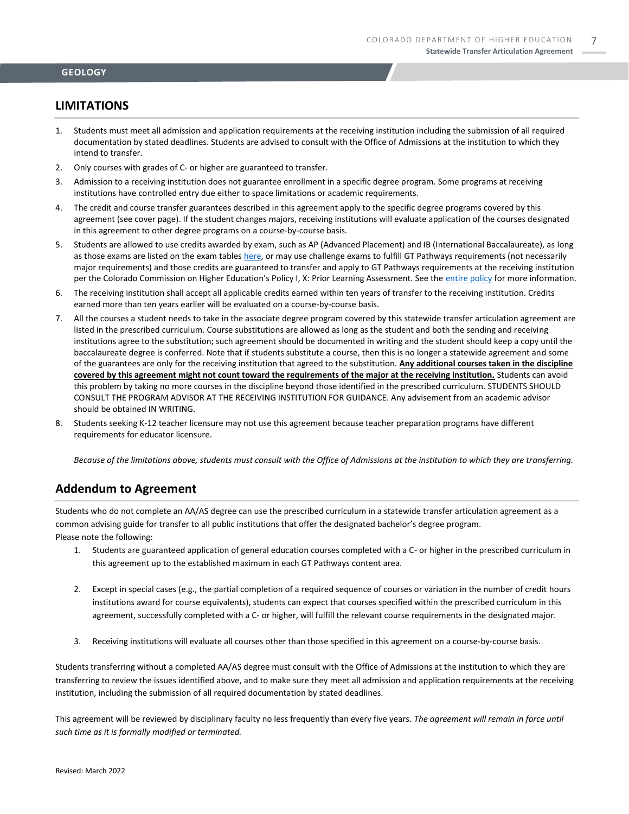### **LIMITATIONS**

- 1. Students must meet all admission and application requirements at the receiving institution including the submission of all required documentation by stated deadlines. Students are advised to consult with the Office of Admissions at the institution to which they intend to transfer.
- 2. Only courses with grades of C- or higher are guaranteed to transfer.
- 3. Admission to a receiving institution does not guarantee enrollment in a specific degree program. Some programs at receiving institutions have controlled entry due either to space limitations or academic requirements.
- 4. The credit and course transfer guarantees described in this agreement apply to the specific degree programs covered by this agreement (see cover page). If the student changes majors, receiving institutions will evaluate application of the courses designated in this agreement to other degree programs on a course-by-course basis.
- 5. Students are allowed to use credits awarded by exam, such as AP (Advanced Placement) and IB (International Baccalaureate), as long as those exams are listed on the exam table[s here,](https://highered.colorado.gov/get-credit-for-what-you-already-know) or may use challenge exams to fulfill GT Pathways requirements (not necessarily major requirements) and those credits are guaranteed to transfer and apply to GT Pathways requirements at the receiving institution per the Colorado Commission on Higher Education's Policy I, X: Prior Learning Assessment. See the [entire policy](https://highered.colorado.gov/sites/highered/files/2020-03/i-partx.pdf) for more information.
- 6. The receiving institution shall accept all applicable credits earned within ten years of transfer to the receiving institution. Credits earned more than ten years earlier will be evaluated on a course-by-course basis.
- 7. All the courses a student needs to take in the associate degree program covered by this statewide transfer articulation agreement are listed in the prescribed curriculum. Course substitutions are allowed as long as the student and both the sending and receiving institutions agree to the substitution; such agreement should be documented in writing and the student should keep a copy until the baccalaureate degree is conferred. Note that if students substitute a course, then this is no longer a statewide agreement and some of the guarantees are only for the receiving institution that agreed to the substitution. **Any additional courses taken in the discipline covered by this agreement might not count toward the requirements of the major at the receiving institution.** Students can avoid this problem by taking no more courses in the discipline beyond those identified in the prescribed curriculum. STUDENTS SHOULD CONSULT THE PROGRAM ADVISOR AT THE RECEIVING INSTITUTION FOR GUIDANCE. Any advisement from an academic advisor should be obtained IN WRITING.
- 8. Students seeking K-12 teacher licensure may not use this agreement because teacher preparation programs have different requirements for educator licensure.

*Because of the limitations above, students must consult with the Office of Admissions at the institution to which they are transferring.*

### **Addendum to Agreement**

Students who do not complete an AA/AS degree can use the prescribed curriculum in a statewide transfer articulation agreement as a common advising guide for transfer to all public institutions that offer the designated bachelor's degree program. Please note the following:

- 1. Students are guaranteed application of general education courses completed with a C- or higher in the prescribed curriculum in this agreement up to the established maximum in each GT Pathways content area.
- 2. Except in special cases (e.g., the partial completion of a required sequence of courses or variation in the number of credit hours institutions award for course equivalents), students can expect that courses specified within the prescribed curriculum in this agreement, successfully completed with a C- or higher, will fulfill the relevant course requirements in the designated major.
- 3. Receiving institutions will evaluate all courses other than those specified in this agreement on a course-by-course basis.

Students transferring without a completed AA/AS degree must consult with the Office of Admissions at the institution to which they are transferring to review the issues identified above, and to make sure they meet all admission and application requirements at the receiving institution, including the submission of all required documentation by stated deadlines.

This agreement will be reviewed by disciplinary faculty no less frequently than every five years. *The agreement will remain in force until such time as it is formally modified or terminated.*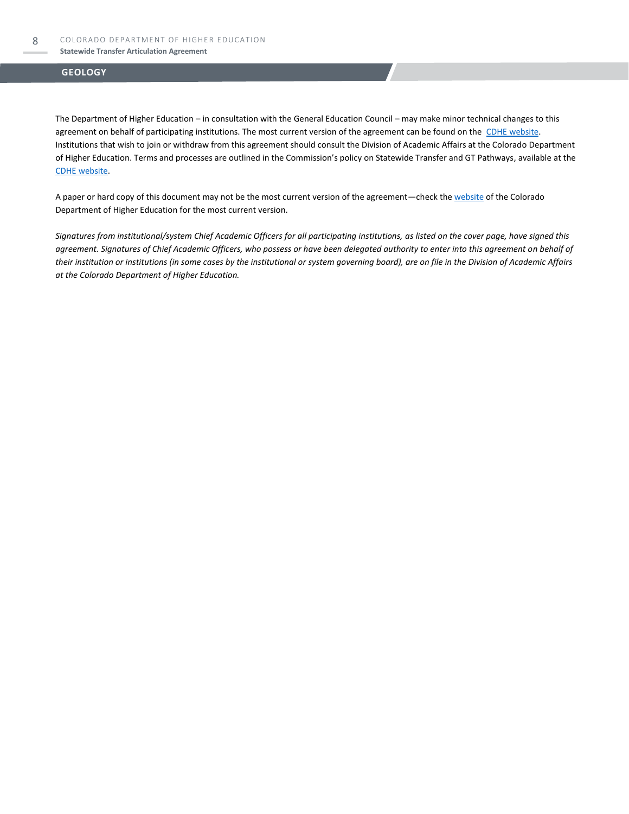The Department of Higher Education – in consultation with the General Education Council – may make minor technical changes to this agreement on behalf of participating institutions. The most current version of the agreement can be found on the [CDHE website.](https://highered.colorado.gov/transfer-degrees) Institutions that wish to join or withdraw from this agreement should consult the Division of Academic Affairs at the Colorado Department of Higher Education. Terms and processes are outlined in the Commission's policy on Statewide Transfer and GT Pathways, available at the [CDHE website.](https://highered.colorado.gov/educators/policy-funding/general-education-ge-council/gtpathways/transfer-agreements)

A paper or hard copy of this document may not be the most current version of the agreement—check th[e website](https://highered.colorado.gov/transfer-degrees) of the Colorado Department of Higher Education for the most current version.

*Signatures from institutional/system Chief Academic Officers for all participating institutions, as listed on the cover page, have signed this agreement. Signatures of Chief Academic Officers, who possess or have been delegated authority to enter into this agreement on behalf of their institution or institutions (in some cases by the institutional or system governing board), are on file in the Division of Academic Affairs at the Colorado Department of Higher Education.*